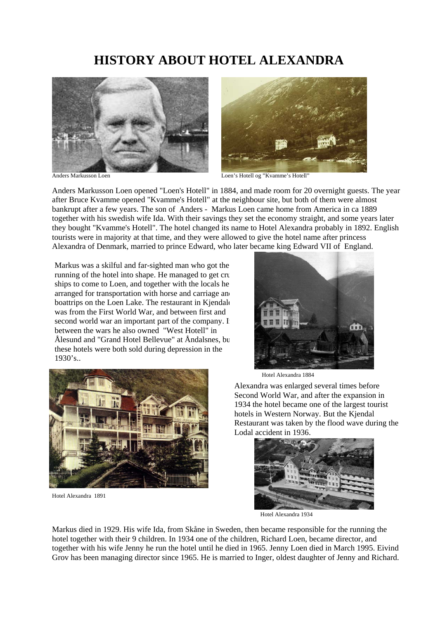## **HISTORY ABOUT HOTEL ALEXANDRA**





Anders Markusson Loen **Logical Loen's Hotell og "Kvamme's Hotell**"

Anders Markusson Loen opened "Loen's Hotell" in 1884, and made room for 20 overnight guests. The year after Bruce Kvamme opened "Kvamme's Hotell" at the neighbour site, but both of them were almost bankrupt after a few years. The son of Anders - Markus Loen came home from America in ca 1889 together with his swedish wife Ida. With their savings they set the economy straight, and some years later they bought "Kvamme's Hotell". The hotel changed its name to Hotel Alexandra probably in 1892. English tourists were in majority at that time, and they were allowed to give the hotel name after princess Alexandra of Denmark, married to prince Edward, who later became king Edward VII of England.

Markus was a skilful and far-sighted man who got the running of the hotel into shape. He managed to get cru ships to come to Loen, and together with the locals he arranged for transportation with horse and carriage and boattrips on the Loen Lake. The restaurant in Kjendale was from the First World War, and between first and second world war an important part of the company. I between the wars he also owned "West Hotell" in Ålesund and "Grand Hotel Bellevue" at Åndalsnes, bu these hotels were both sold during depression in the 1930's..





Hotel Alexandra 1891

Hotel Alexandra 1884

Alexandra was enlarged several times before Second World War, and after the expansion in 1934 the hotel became one of the largest tourist hotels in Western Norway. But the Kjendal Restaurant was taken by the flood wave during the Lodal accident in 1936.



Markus died in 1929. His wife Ida, from Skåne in Sweden, then became responsible for the running the hotel together with their 9 children. In 1934 one of the children, Richard Loen, became director, and together with his wife Jenny he run the hotel until he died in 1965. Jenny Loen died in March 1995. Eivind Grov has been managing director since 1965. He is married to Inger, oldest daughter of Jenny and Richard.